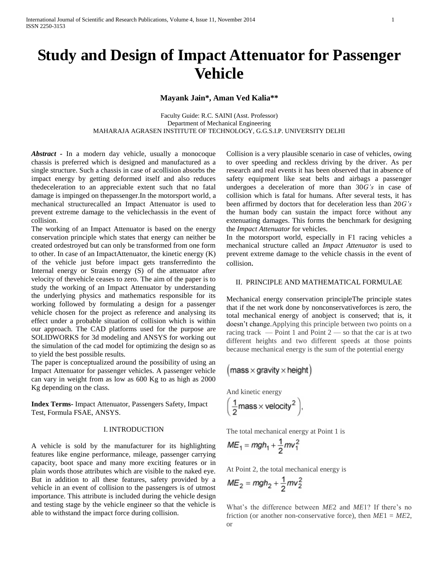# **Study and Design of Impact Attenuator for Passenger Vehicle**

# **Mayank Jain\*, Aman Ved Kalia\*\***

Faculty Guide: R.C. SAINI (Asst. Professor) Department of Mechanical Engineering MAHARAJA AGRASEN INSTITUTE OF TECHNOLOGY, G.G.S.I.P. UNIVERSITY DELHI

*Abstract -* In a modern day vehicle, usually a monocoque chassis is preferred which is designed and manufactured as a single structure. Such a chassis in case of acollision absorbs the impact energy by getting deformed itself and also reduces thedeceleration to an appreciable extent such that no fatal damage is impinged on thepassenger.In the motorsport world, a mechanical structurecalled an Impact Attenuator is used to prevent extreme damage to the vehiclechassis in the event of collision.

The working of an Impact Attenuator is based on the energy conservation principle which states that energy can neither be created ordestroyed but can only be transformed from one form to other. In case of an ImpactAttenuator, the kinetic energy (K) of the vehicle just before impact gets transferredinto the Internal energy or Strain energy (S) of the attenuator after velocity of thevehicle ceases to zero. The aim of the paper is to study the working of an Impact Attenuator by understanding the underlying physics and mathematics responsible for its working followed by formulating a design for a passenger vehicle chosen for the project as reference and analysing its effect under a probable situation of collision which is within our approach. The CAD platforms used for the purpose are SOLIDWORKS for 3d modeling and ANSYS for working out the simulation of the cad model for optimizing the design so as to yield the best possible results.

The paper is conceptualized around the possibility of using an Impact Attenuator for passenger vehicles. A passenger vehicle can vary in weight from as low as 600 Kg to as high as 2000 Kg depending on the class.

**Index Terms-** Impact Attenuator, Passengers Safety, Impact Test, Formula FSAE, ANSYS.

## I. INTRODUCTION

A vehicle is sold by the manufacturer for its highlighting features like engine performance, mileage, passenger carrying capacity, boot space and many more exciting features or in plain words those attributes which are visible to the naked eye. But in addition to all these features, safety provided by a vehicle in an event of collision to the passengers is of utmost importance. This attribute is included during the vehicle design and testing stage by the vehicle engineer so that the vehicle is able to withstand the impact force during collision.

Collision is a very plausible scenario in case of vehicles, owing to over speeding and reckless driving by the driver. As per research and real events it has been observed that in absence of safety equipment like seat belts and airbags a passenger undergoes a deceleration of more than 30*G's* in case of collision which is fatal for humans. After several tests, it has been affirmed by doctors that for deceleration less than 20*G's*  the human body can sustain the impact force without any extenuating damages. This forms the benchmark for designing the *Impact Attenuator* for vehicles.

In the motorsport world, especially in F1 racing vehicles a mechanical structure called an *Impact Attenuator* is used to prevent extreme damage to the vehicle chassis in the event of collision.

#### II. PRINCIPLE AND MATHEMATICAL FORMULAE

Mechanical energy conservation principleThe principle states that if the net work done by nonconservativeforces is zero, the total mechanical energy of anobject is conserved; that is, it doesn't change.Applying this principle between two points on a racing track — Point 1 and Point  $2$  — so that the car is at two different heights and two different speeds at those points because mechanical energy is the sum of the potential energy

$$
(\text{mass} \times \text{gravity} \times \text{height})
$$

And kinetic energy

$$
\left(\frac{1}{2} \text{mass} \times \text{velocity}^2\right),
$$

The total mechanical energy at Point 1 is  $\lambda$ 

$$
ME_1 = mgh_1 + \frac{1}{2}mv_1^2
$$

At Point 2, the total mechanical energy is

$$
ME_2 = mgh_2 + \frac{1}{2}mv_2^2
$$

What's the difference between *ME*2 and *ME*1? If there's no friction (or another non-conservative force), then  $ME1 = ME2$ , or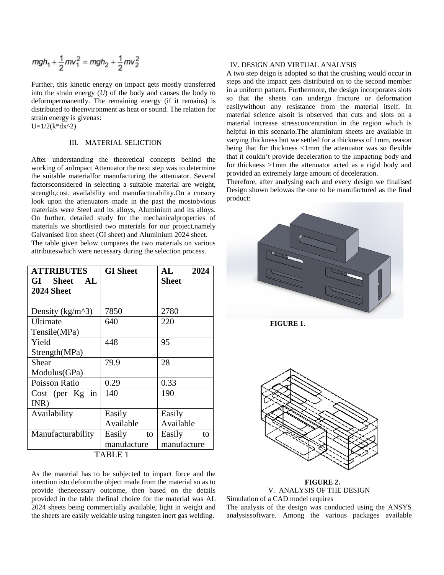$$
mgh_1 + \frac{1}{2}mv_1^2 = mgh_2 + \frac{1}{2}mv_2^2
$$

Further, this kinetic energy on impact gets mostly transferred into the strain energy (*U*) of the body and causes the body to deformpermanently. The remaining energy (if it remains) is distributed to theenvironment as heat or sound. The relation for strain energy is givenas:

# $U=1/2(k*dx^2)$

# III. MATERIAL SELICTION

After understanding the theoretical concepts behind the working of anImpact Attenuator the next step was to determine the suitable materialfor manufacturing the attenuator. Several factorsconsidered in selecting a suitable material are weight, strength,cost, availability and manufacturability.On a cursory look upon the attenuators made in the past the mostobvious materials were Steel and its alloys, Aluminium and its alloys. On further, detailed study for the mechanicalproperties of materials we shortlisted two materials for our project,namely Galvanised Iron sheet (GI sheet) and Aluminium 2024 sheet. The table given below compares the two materials on various attributeswhich were necessary during the selection process.

| <b>ATTRIBUTES</b><br>GI<br><b>Sheet</b><br>AL<br><b>2024 Sheet</b> | <b>GI</b> Sheet | 2024<br>AL<br><b>Sheet</b> |
|--------------------------------------------------------------------|-----------------|----------------------------|
| Density ( $\text{kg/m}^3$ )                                        | 7850            | 2780                       |
| Ultimate                                                           | 640             | 220                        |
| Tensile(MPa)                                                       |                 |                            |
| Yield                                                              | 448             | 95                         |
| Strength(MPa)                                                      |                 |                            |
| Shear                                                              | 79.9            | 28                         |
| Modulus(GPa)                                                       |                 |                            |
| Poisson Ratio                                                      | 0.29            | 0.33                       |
| Cost (per $Kg$ in                                                  | 140             | 190                        |
| INR)                                                               |                 |                            |
| Availability                                                       | Easily          | Easily                     |
|                                                                    | Available       | Available                  |
| Manufacturability                                                  | Easily<br>to    | Easily<br>to               |
|                                                                    | manufacture     | manufacture                |
| TABLE 1                                                            |                 |                            |

As the material has to be subjected to impact force and the intention isto deform the object made from the material so as to provide thenecessary outcome, then based on the details provided in the table thefinal choice for the material was AL 2024 sheets being commercially available, light in weight and the sheets are easily weldable using tungsten inert gas welding.

# IV. DESIGN AND VIRTUAL ANALYSIS

A two step deign is adopted so that the crushing would occur in steps and the impact gets distributed on to the second member in a uniform pattern. Furthermore, the design incorporates slots so that the sheets can undergo fracture or deformation easilywithout any resistance from the material itself. In material science alsoit is observed that cuts and slots on a material increase stressconcentration in the region which is helpful in this scenario.The aluminium sheets are available in varying thickness but we settled for a thickness of 1mm, reason being that for thickness <1mm the attenuator was so flexible that it couldn't provide deceleration to the impacting body and for thickness >1mm the attenuator acted as a rigid body and provided an extremely large amount of deceleration.

Therefore, after analysing each and every design we finalised Design shown belowas the one to be manufactured as the final product:



 **FIGURE 1.**



**FIGURE 2.** V. ANALYSIS OF THE DESIGN Simulation of a CAD model requires

The analysis of the design was conducted using the ANSYS analysissoftware. Among the various packages available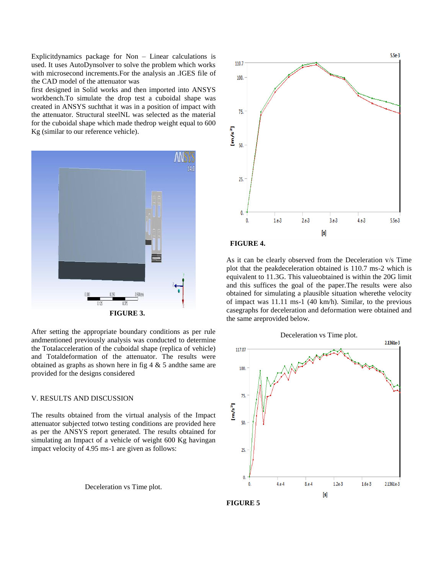Explicitdynamics package for Non – Linear calculations is used. It uses AutoDynsolver to solve the problem which works with microsecond increments.For the analysis an .IGES file of the CAD model of the attenuator was

first designed in Solid works and then imported into ANSYS workbench.To simulate the drop test a cuboidal shape was created in ANSYS suchthat it was in a position of impact with the attenuator. Structural steelNL was selected as the material for the cuboidal shape which made thedrop weight equal to 600 Kg (similar to our reference vehicle).



After setting the appropriate boundary conditions as per rule andmentioned previously analysis was conducted to determine the Totalacceleration of the cuboidal shape (replica of vehicle) and Totaldeformation of the attenuator. The results were obtained as graphs as shown here in fig  $4 \& 5$  and the same are provided for the designs considered

#### V. RESULTS AND DISCUSSION

The results obtained from the virtual analysis of the Impact attenuator subjected totwo testing conditions are provided here as per the ANSYS report generated. The results obtained for simulating an Impact of a vehicle of weight 600 Kg havingan impact velocity of 4.95 ms-1 are given as follows:

Deceleration vs Time plot.





As it can be clearly observed from the Deceleration v/s Time plot that the peakdeceleration obtained is 110.7 ms-2 which is equivalent to 11.3G. This valueobtained is within the 20G limit and this suffices the goal of the paper.The results were also obtained for simulating a plausible situation wherethe velocity of impact was 11.11 ms-1 (40 km/h). Similar, to the previous casegraphs for deceleration and deformation were obtained and the same areprovided below.